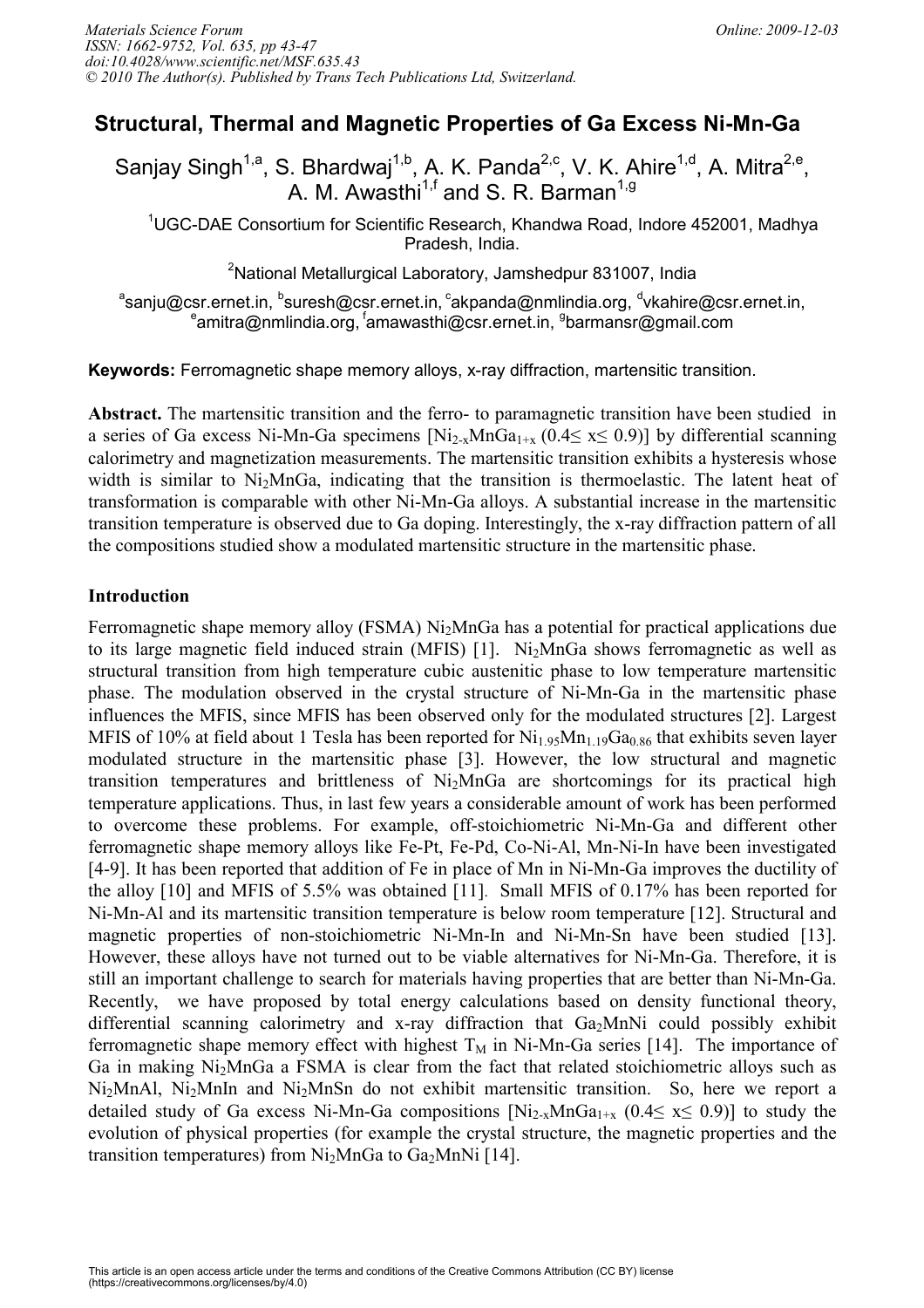# Structural, Thermal and Magnetic Properties of Ga Excess Ni-Mn-Ga

Sanjay Singh<sup>1,a</sup>, S. Bhardwaj<sup>1,b</sup>, A. K. Panda<sup>2,c</sup>, V. K. Ahire<sup>1,d</sup>, A. Mitra<sup>2,e</sup>, A. M. Awasthi $^{1,f}$  and S. R. Barman $^{1,g}$ 

 $10$ GC-DAE Consortium for Scientific Research, Khandwa Road, Indore 452001, Madhya Pradesh, India.

<sup>2</sup>National Metallurgical Laboratory, Jamshedpur 831007, India

 $^{\circ}$ sanju@csr.ernet.in,  $^{\circ}$ suresh@csr.ernet.in,  $^{\circ}$ akpanda@nmlindia.org,  $^{\circ}$ vkahire@csr.ernet.in, amitra@nmlindia.org, <sup>f</sup>amawasthi@csr.ernet.in, <sup>9</sup>barmansr@gmail.com

**Keywords:** Ferromagnetic shape memory alloys, x-ray diffraction, martensitic transition.

Abstract. The martensitic transition and the ferro- to paramagnetic transition have been studied in a series of Ga excess Ni-Mn-Ga specimens  $[Ni_{2-x}MnGa_{1+x} (0.4 \le x \le 0.9)]$  by differential scanning calorimetry and magnetization measurements. The martensitic transition exhibits a hysteresis whose width is similar to  $Ni<sub>2</sub>MnGa$ , indicating that the transition is thermoelastic. The latent heat of transformation is comparable with other Ni-Mn-Ga alloys. A substantial increase in the martensitic transition temperature is observed due to Ga doping. Interestingly, the x-ray diffraction pattern of all the compositions studied show a modulated martensitic structure in the martensitic phase.

# **Introduction**

Ferromagnetic shape memory alloy (FSMA) Ni<sub>2</sub>MnGa has a potential for practical applications due to its large magnetic field induced strain (MFIS) [1]. Ni<sub>2</sub>MnGa shows ferromagnetic as well as structural transition from high temperature cubic austenitic phase to low temperature martensitic phase. The modulation observed in the crystal structure of Ni-Mn-Ga in the martensitic phase influences the MFIS, since MFIS has been observed only for the modulated structures [2]. Largest MFIS of 10% at field about 1 Tesla has been reported for  $Ni<sub>1.95</sub>Mn<sub>1.19</sub>Ga<sub>0.86</sub>$  that exhibits seven layer modulated structure in the martensitic phase [3]. However, the low structural and magnetic transition temperatures and brittleness of Ni2MnGa are shortcomings for its practical high temperature applications. Thus, in last few years a considerable amount of work has been performed to overcome these problems. For example, off-stoichiometric Ni-Mn-Ga and different other ferromagnetic shape memory alloys like Fe-Pt, Fe-Pd, Co-Ni-Al, Mn-Ni-In have been investigated [4-9]. It has been reported that addition of Fe in place of Mn in Ni-Mn-Ga improves the ductility of the alloy [10] and MFIS of 5.5% was obtained [11]. Small MFIS of 0.17% has been reported for Ni-Mn-Al and its martensitic transition temperature is below room temperature [12]. Structural and magnetic properties of non-stoichiometric Ni-Mn-In and Ni-Mn-Sn have been studied [13]. However, these alloys have not turned out to be viable alternatives for Ni-Mn-Ga. Therefore, it is still an important challenge to search for materials having properties that are better than Ni-Mn-Ga. Recently, we have proposed by total energy calculations based on density functional theory, differential scanning calorimetry and x-ray diffraction that  $Ga<sub>2</sub>MnNi$  could possibly exhibit ferromagnetic shape memory effect with highest  $T_M$  in Ni-Mn-Ga series [14]. The importance of Ga in making Ni2MnGa a FSMA is clear from the fact that related stoichiometric alloys such as Ni2MnAl, Ni2MnIn and Ni2MnSn do not exhibit martensitic transition. So, here we report a detailed study of Ga excess Ni-Mn-Ga compositions  $[Ni_{2-x}MnGa_{1+x} (0.4 \le x \le 0.9)]$  to study the evolution of physical properties (for example the crystal structure, the magnetic properties and the transition temperatures) from  $Ni<sub>2</sub>MnGa$  to  $Ga<sub>2</sub>MnNi$  [14].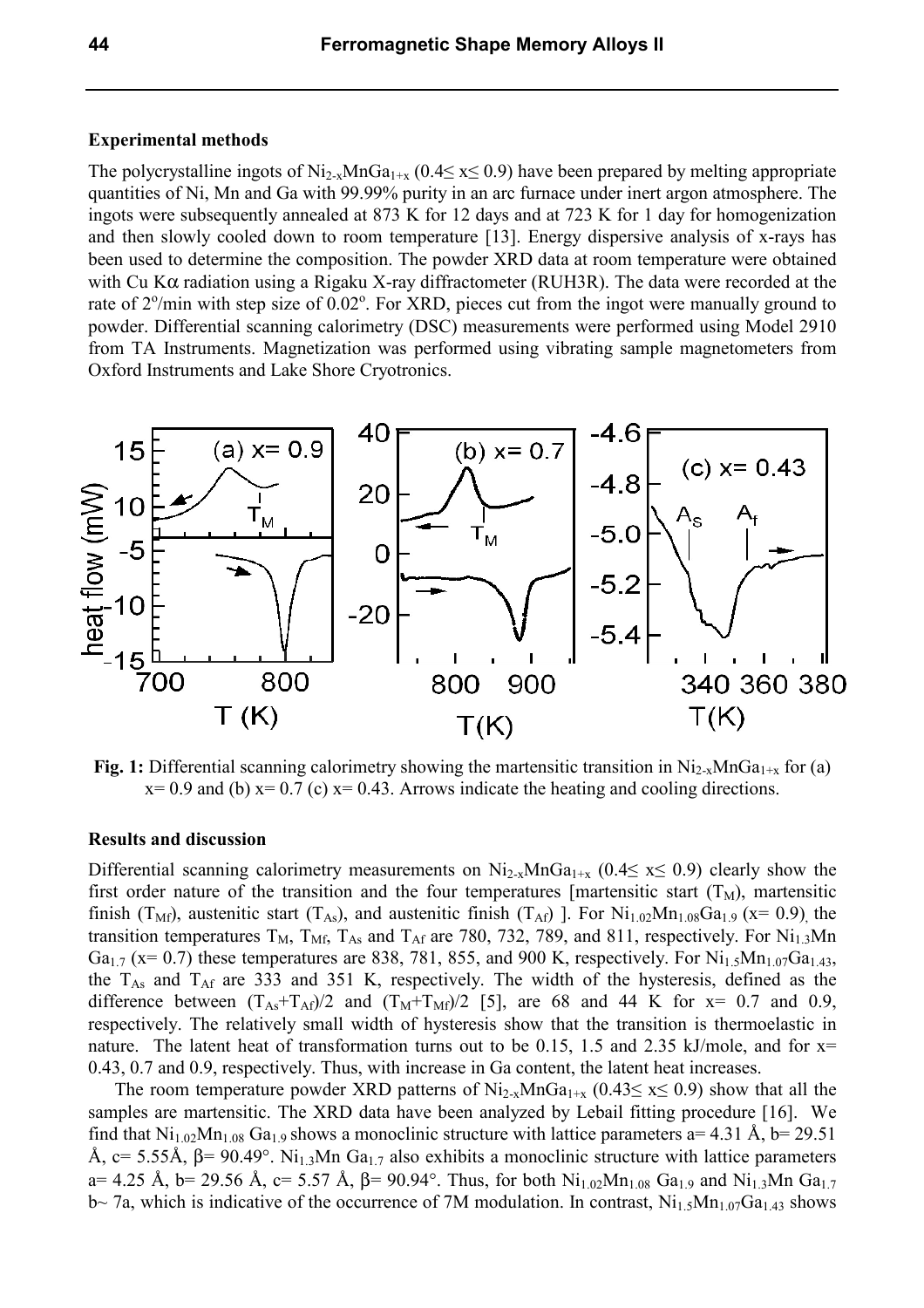## **Experimental methods**

The polycrystalline ingots of  $Ni_{2-x}MnGa_{1+x}$  (0.4≤ x≤ 0.9) have been prepared by melting appropriate quantities of Ni, Mn and Ga with 99.99% purity in an arc furnace under inert argon atmosphere. The ingots were subsequently annealed at 873 K for 12 days and at 723 K for 1 day for homogenization and then slowly cooled down to room temperature [13]. Energy dispersive analysis of x-rays has been used to determine the composition. The powder XRD data at room temperature were obtained with Cu K $\alpha$  radiation using a Rigaku X-ray diffractometer (RUH3R). The data were recorded at the rate of  $2^{\circ}/$ min with step size of  $0.02^{\circ}$ . For XRD, pieces cut from the ingot were manually ground to powder. Differential scanning calorimetry (DSC) measurements were performed using Model 2910 from TA Instruments. Magnetization was performed using vibrating sample magnetometers from Oxford Instruments and Lake Shore Cryotronics.



 $x= 0.9$  and (b)  $x= 0.7$  (c)  $x= 0.43$ . Arrows indicate the heating and cooling directions.

#### **Results and discussion**

Differential scanning calorimetry measurements on  $Ni_{2-x}MnGa_{1+x}$  (0.4≤ x≤ 0.9) clearly show the first order nature of the transition and the four temperatures [martensitic start  $(T_M)$ , martensitic finish (T<sub>Mf</sub>), austenitic start (T<sub>As</sub>), and austenitic finish (T<sub>Af</sub>) ]. For Ni<sub>1.02</sub>Mn<sub>1.08</sub>Ga<sub>1.9</sub> (x= 0.9) the transition temperatures  $T_M$ ,  $T_{Mf}$ ,  $T_{As}$  and  $T_{Af}$  are 780, 732, 789, and 811, respectively. For  $Ni_{1.3}Mn$ Ga<sub>1.7</sub> (x= 0.7) these temperatures are 838, 781, 855, and 900 K, respectively. For Ni<sub>1.5</sub>Mn<sub>1.07</sub>Ga<sub>1.43</sub>, the  $T_{As}$  and  $T_{Af}$  are 333 and 351 K, respectively. The width of the hysteresis, defined as the difference between  $(T_{As}+T_{Af})/2$  and  $(T_M+T_{Mf})/2$  [5], are 68 and 44 K for  $x=0.7$  and 0.9, respectively. The relatively small width of hysteresis show that the transition is thermoelastic in nature. The latent heat of transformation turns out to be 0.15, 1.5 and 2.35 kJ/mole, and for  $x=$ 0.43, 0.7 and 0.9, respectively. Thus, with increase in Ga content, the latent heat increases.

The room temperature powder XRD patterns of  $\text{Ni}_{2-x} \text{MnGa}_{1+x}$  (0.43 $\leq$  x $\leq$  0.9) show that all the samples are martensitic. The XRD data have been analyzed by Lebail fitting procedure [16]. We find that  $Ni_{1.02}Mn_{1.08}$  Ga<sub>1.9</sub> shows a monoclinic structure with lattice parameters a= 4.31 Å, b= 29.51 Å, c= 5.55Å,  $β = 90.49°$ . Ni<sub>1.3</sub>Mn Ga<sub>1.7</sub> also exhibits a monoclinic structure with lattice parameters a= 4.25 Å, b= 29.56 Å, c= 5.57 Å,  $\beta$ = 90.94°. Thus, for both Ni<sub>1.02</sub>Mn<sub>1.08</sub> Ga<sub>1.9</sub> and Ni<sub>1.3</sub>Mn Ga<sub>1.7</sub>  $b$ ~ 7a, which is indicative of the occurrence of 7M modulation. In contrast,  $Ni<sub>1.5</sub>Mn<sub>1.07</sub>Ga<sub>1.43</sub>$  shows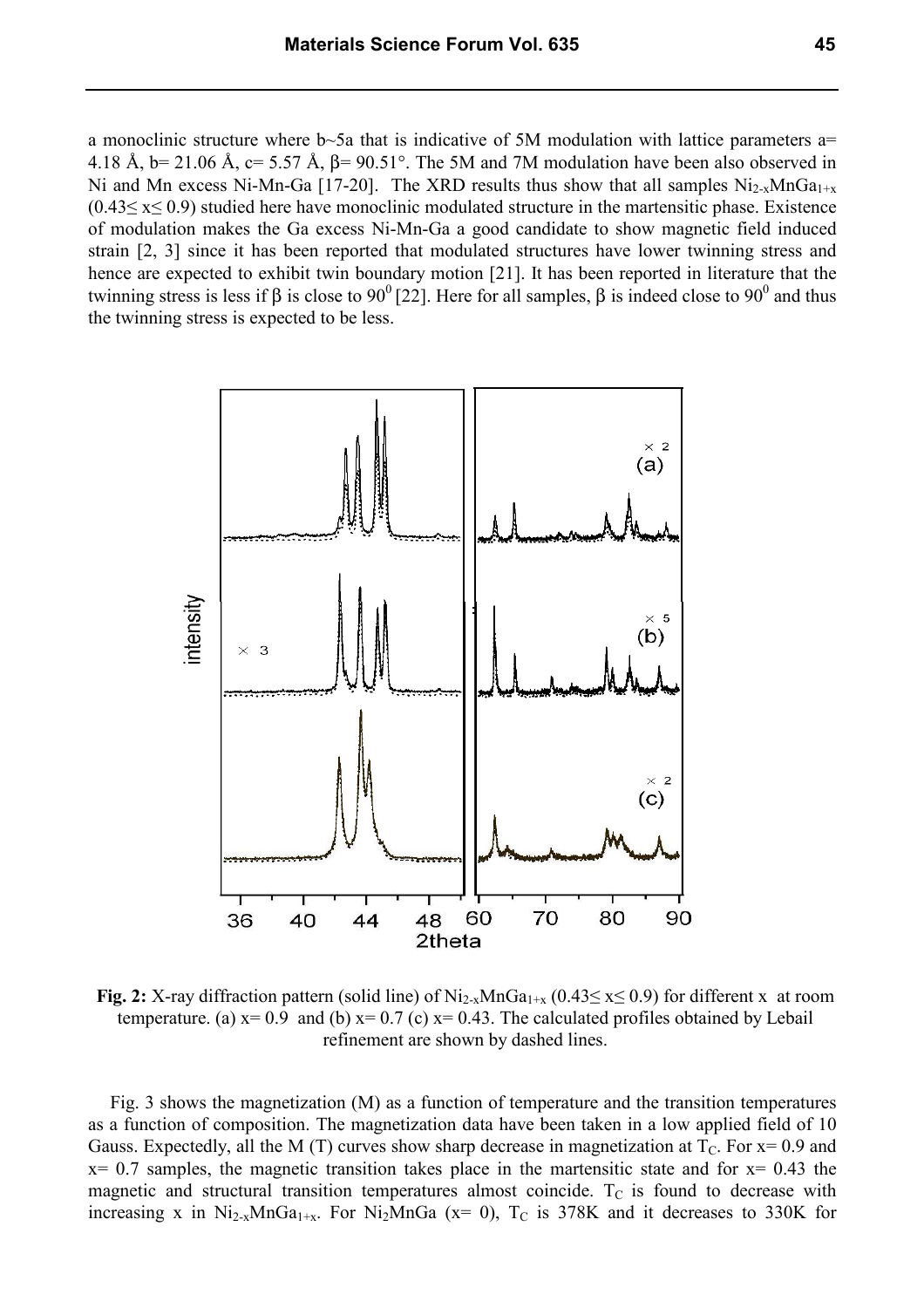a monoclinic structure where b~5a that is indicative of 5M modulation with lattice parameters a= 4.18 Å,  $b= 21.06$  Å,  $c= 5.57$  Å,  $\beta= 90.51^\circ$ . The 5M and 7M modulation have been also observed in Ni and Mn excess Ni-Mn-Ga [17-20]. The XRD results thus show that all samples  $Ni_{2-x}MnGa_{1+x}$  $(0.43 \le x \le 0.9)$  studied here have monoclinic modulated structure in the martensitic phase. Existence of modulation makes the Ga excess Ni-Mn-Ga a good candidate to show magnetic field induced strain [2, 3] since it has been reported that modulated structures have lower twinning stress and hence are expected to exhibit twin boundary motion [21]. It has been reported in literature that the twinning stress is less if β is close to 90<sup>0</sup> [22]. Here for all samples, β is indeed close to 90<sup>0</sup> and thus the twinning stress is expected to be less.



Fig. 2: X-ray diffraction pattern (solid line) of Ni<sub>2-x</sub>MnGa<sub>1+x</sub> (0.43≤ x≤ 0.9) for different x at room temperature. (a)  $x=0.9$  and (b)  $x=0.7$  (c)  $x=0.43$ . The calculated profiles obtained by Lebail refinement are shown by dashed lines.

Fig. 3 shows the magnetization (M) as a function of temperature and the transition temperatures as a function of composition. The magnetization data have been taken in a low applied field of 10 Gauss. Expectedly, all the M (T) curves show sharp decrease in magnetization at  $T_c$ . For  $x=0.9$  and  $x= 0.7$  samples, the magnetic transition takes place in the martensitic state and for  $x= 0.43$  the magnetic and structural transition temperatures almost coincide.  $T_c$  is found to decrease with increasing x in  $Ni_{2-x}MnGa_{1+x}$ . For  $Ni_2MnGa$  (x= 0), T<sub>C</sub> is 378K and it decreases to 330K for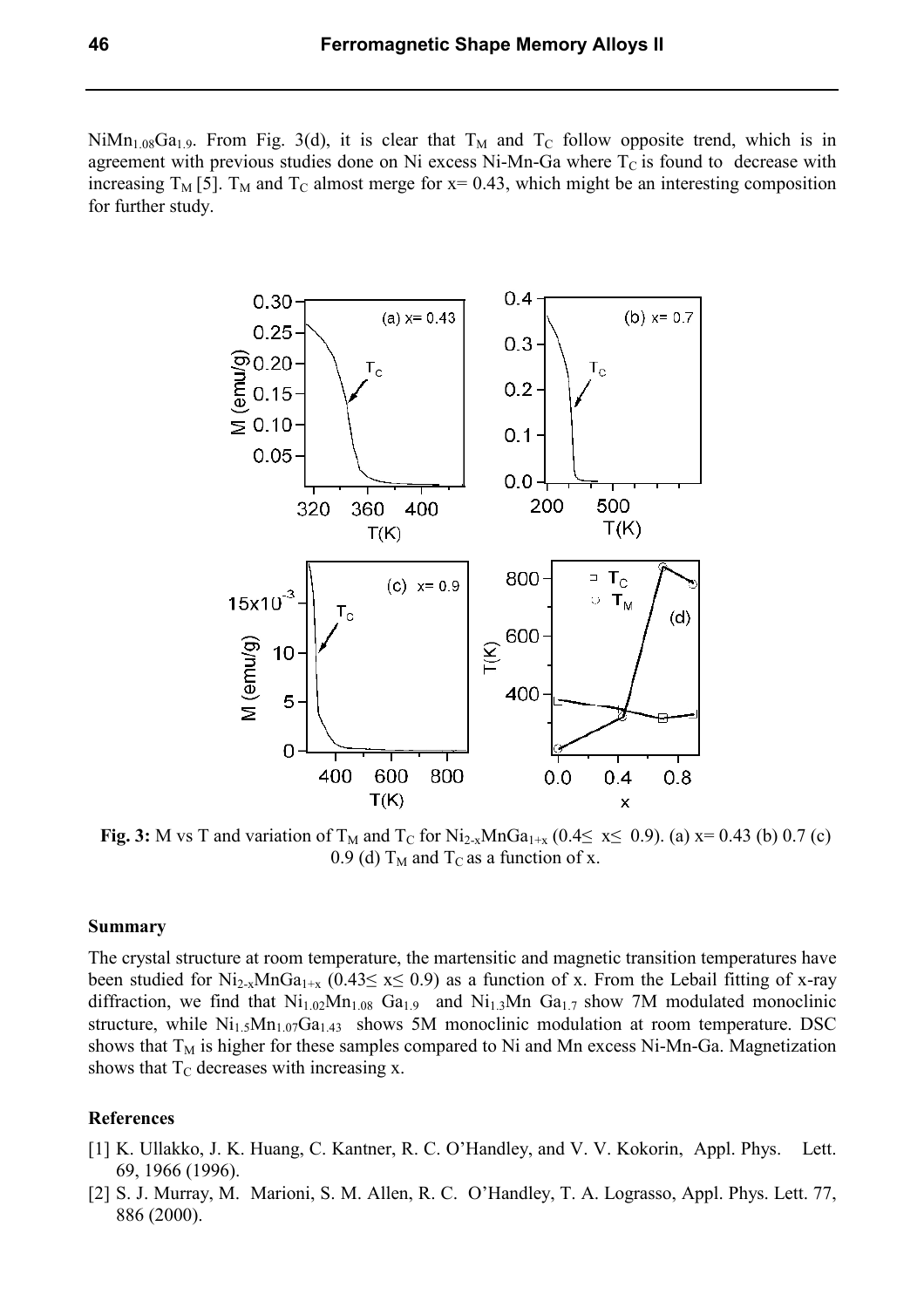$NiMn<sub>1.08</sub>Ga<sub>1.9</sub>$ . From Fig. 3(d), it is clear that T<sub>M</sub> and T<sub>C</sub> follow opposite trend, which is in agreement with previous studies done on Ni excess Ni-Mn-Ga where  $T<sub>C</sub>$  is found to decrease with increasing  $T_M$  [5].  $T_M$  and  $T_C$  almost merge for x= 0.43, which might be an interesting composition for further study.



Fig. 3: M vs T and variation of T<sub>M</sub> and T<sub>C</sub> for Ni<sub>2-x</sub>MnGa<sub>1+x</sub> (0.4≤ x≤ 0.9). (a) x= 0.43 (b) 0.7 (c) 0.9 (d)  $T_M$  and  $T_C$  as a function of x.

# **Summary**

The crystal structure at room temperature, the martensitic and magnetic transition temperatures have been studied for Ni<sub>2-x</sub>MnGa<sub>1+x</sub> (0.43≤ x≤ 0.9) as a function of x. From the Lebail fitting of x-ray diffraction, we find that  $Ni<sub>1.02</sub>Mn<sub>1.08</sub>$  Ga<sub>1.9</sub> and  $Ni<sub>1.3</sub>Mn$  Ga<sub>1.7</sub> show 7M modulated monoclinic structure, while  $Ni<sub>1.5</sub>Mn<sub>1.07</sub>Ga<sub>1.43</sub>$  shows 5M monoclinic modulation at room temperature. DSC shows that  $T_M$  is higher for these samples compared to Ni and Mn excess Ni-Mn-Ga. Magnetization shows that  $T_{\rm C}$  decreases with increasing x.

## 

- [1] K. Ullakko, J. K. Huang, C. Kantner, R. C. O'Handley, and V. V. Kokorin, Appl. Phys. Lett. 69, 1966 (1996).
- [2] S. J. Murray, M. Marioni, S. M. Allen, R. C. O'Handley, T. A. Lograsso, Appl. Phys. Lett. 77, 886 (2000).